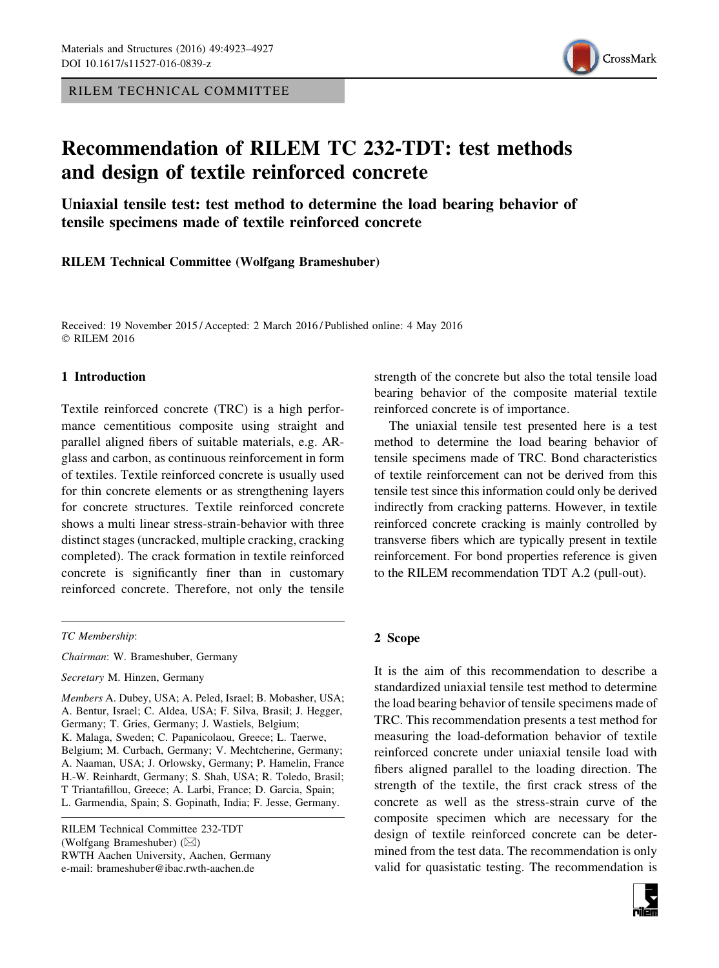RILEM TECHNICAL COMMITTEE



# Recommendation of RILEM TC 232-TDT: test methods and design of textile reinforced concrete

Uniaxial tensile test: test method to determine the load bearing behavior of tensile specimens made of textile reinforced concrete

RILEM Technical Committee (Wolfgang Brameshuber)

Received: 19 November 2015 / Accepted: 2 March 2016 / Published online: 4 May 2016 © RILEM 2016

#### 1 Introduction

Textile reinforced concrete (TRC) is a high performance cementitious composite using straight and parallel aligned fibers of suitable materials, e.g. ARglass and carbon, as continuous reinforcement in form of textiles. Textile reinforced concrete is usually used for thin concrete elements or as strengthening layers for concrete structures. Textile reinforced concrete shows a multi linear stress-strain-behavior with three distinct stages (uncracked, multiple cracking, cracking completed). The crack formation in textile reinforced concrete is significantly finer than in customary reinforced concrete. Therefore, not only the tensile

TC Membership:

Chairman: W. Brameshuber, Germany

Secretary M. Hinzen, Germany

Members A. Dubey, USA; A. Peled, Israel; B. Mobasher, USA; A. Bentur, Israel; C. Aldea, USA; F. Silva, Brasil; J. Hegger, Germany; T. Gries, Germany; J. Wastiels, Belgium; K. Malaga, Sweden; C. Papanicolaou, Greece; L. Taerwe, Belgium; M. Curbach, Germany; V. Mechtcherine, Germany; A. Naaman, USA; J. Orlowsky, Germany; P. Hamelin, France H.-W. Reinhardt, Germany; S. Shah, USA; R. Toledo, Brasil; T Triantafillou, Greece; A. Larbi, France; D. Garcia, Spain; L. Garmendia, Spain; S. Gopinath, India; F. Jesse, Germany.

RILEM Technical Committee 232-TDT (Wolfgang Brameshuber)  $(\boxtimes)$ RWTH Aachen University, Aachen, Germany e-mail: brameshuber@ibac.rwth-aachen.de

strength of the concrete but also the total tensile load bearing behavior of the composite material textile reinforced concrete is of importance.

The uniaxial tensile test presented here is a test method to determine the load bearing behavior of tensile specimens made of TRC. Bond characteristics of textile reinforcement can not be derived from this tensile test since this information could only be derived indirectly from cracking patterns. However, in textile reinforced concrete cracking is mainly controlled by transverse fibers which are typically present in textile reinforcement. For bond properties reference is given to the RILEM recommendation TDT A.2 (pull-out).

#### 2 Scope

It is the aim of this recommendation to describe a standardized uniaxial tensile test method to determine the load bearing behavior of tensile specimens made of TRC. This recommendation presents a test method for measuring the load-deformation behavior of textile reinforced concrete under uniaxial tensile load with fibers aligned parallel to the loading direction. The strength of the textile, the first crack stress of the concrete as well as the stress-strain curve of the composite specimen which are necessary for the design of textile reinforced concrete can be determined from the test data. The recommendation is only valid for quasistatic testing. The recommendation is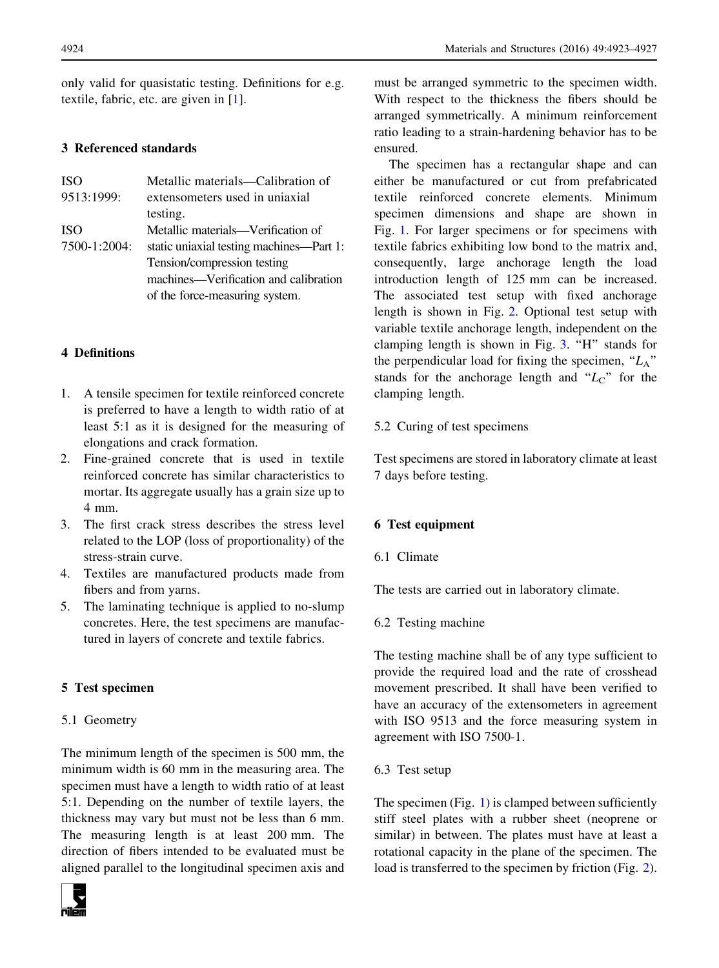only valid for quasistatic testing. Definitions for e.g. textile, fabric, etc. are given in [[1\]](#page-4-0).

## 3 Referenced standards

| <b>ISO</b>   | Metallic materials—Calibration of        |
|--------------|------------------------------------------|
| 9513:1999:   | extensometers used in uniaxial           |
|              | testing.                                 |
| <b>ISO</b>   | Metallic materials—Verification of       |
| 7500-1:2004: | static uniaxial testing machines—Part 1: |
|              | Tension/compression testing              |
|              | machines—Verification and calibration    |
|              | of the force-measuring system.           |

## 4 Definitions

- 1. A tensile specimen for textile reinforced concrete is preferred to have a length to width ratio of at least 5:1 as it is designed for the measuring of elongations and crack formation.
- 2. Fine-grained concrete that is used in textile reinforced concrete has similar characteristics to mortar. Its aggregate usually has a grain size up to 4 mm.
- 3. The first crack stress describes the stress level related to the LOP (loss of proportionality) of the stress-strain curve.
- 4. Textiles are manufactured products made from fibers and from yarns.
- 5. The laminating technique is applied to no-slump concretes. Here, the test specimens are manufactured in layers of concrete and textile fabrics.

## 5 Test specimen

#### 5.1 Geometry

The minimum length of the specimen is 500 mm, the minimum width is 60 mm in the measuring area. The specimen must have a length to width ratio of at least 5:1. Depending on the number of textile layers, the thickness may vary but must not be less than 6 mm. The measuring length is at least 200 mm. The direction of fibers intended to be evaluated must be aligned parallel to the longitudinal specimen axis and



must be arranged symmetric to the specimen width. With respect to the thickness the fibers should be arranged symmetrically. A minimum reinforcement ratio leading to a strain-hardening behavior has to be ensured.

The specimen has a rectangular shape and can either be manufactured or cut from prefabricated textile reinforced concrete elements. Minimum specimen dimensions and shape are shown in Fig. [1.](#page-2-0) For larger specimens or for specimens with textile fabrics exhibiting low bond to the matrix and, consequently, large anchorage length the load introduction length of 125 mm can be increased. The associated test setup with fixed anchorage length is shown in Fig. [2](#page-2-0). Optional test setup with variable textile anchorage length, independent on the clamping length is shown in Fig. [3](#page-3-0). "H" stands for the perpendicular load for fixing the specimen, " $L_A$ " stands for the anchorage length and " $L<sub>C</sub>$ " for the clamping length.

## 5.2 Curing of test specimens

Test specimens are stored in laboratory climate at least 7 days before testing.

## 6 Test equipment

6.1 Climate

The tests are carried out in laboratory climate.

6.2 Testing machine

The testing machine shall be of any type sufficient to provide the required load and the rate of crosshead movement prescribed. It shall have been verified to have an accuracy of the extensometers in agreement with ISO 9513 and the force measuring system in agreement with ISO 7500-1.

6.3 Test setup

The specimen (Fig. [1\)](#page-2-0) is clamped between sufficiently stiff steel plates with a rubber sheet (neoprene or similar) in between. The plates must have at least a rotational capacity in the plane of the specimen. The load is transferred to the specimen by friction (Fig. [2](#page-2-0)).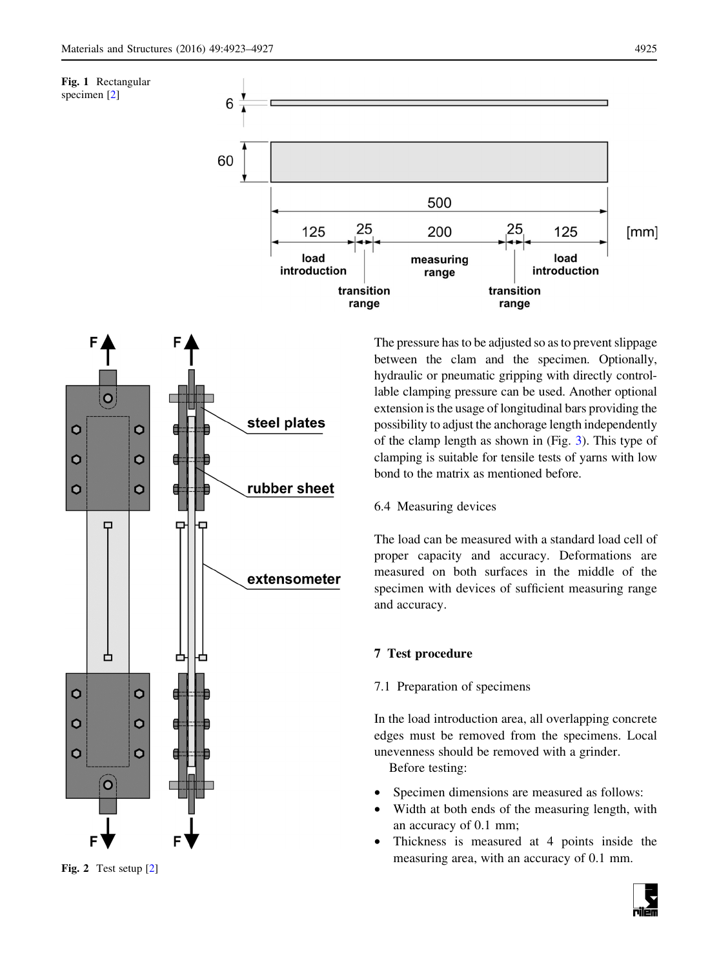<span id="page-2-0"></span>



The pressure has to be adjusted so as to prevent slippage between the clam and the specimen. Optionally, hydraulic or pneumatic gripping with directly controllable clamping pressure can be used. Another optional extension is the usage of longitudinal bars providing the possibility to adjust the anchorage length independently of the clamp length as shown in (Fig. [3\)](#page-3-0). This type of clamping is suitable for tensile tests of yarns with low bond to the matrix as mentioned before.

6.4 Measuring devices

The load can be measured with a standard load cell of proper capacity and accuracy. Deformations are measured on both surfaces in the middle of the specimen with devices of sufficient measuring range and accuracy.

## 7 Test procedure

## 7.1 Preparation of specimens

In the load introduction area, all overlapping concrete edges must be removed from the specimens. Local unevenness should be removed with a grinder.

Before testing:

- Specimen dimensions are measured as follows:
- Width at both ends of the measuring length, with an accuracy of 0.1 mm;
- Thickness is measured at 4 points inside the measuring area, with an accuracy of 0.1 mm.

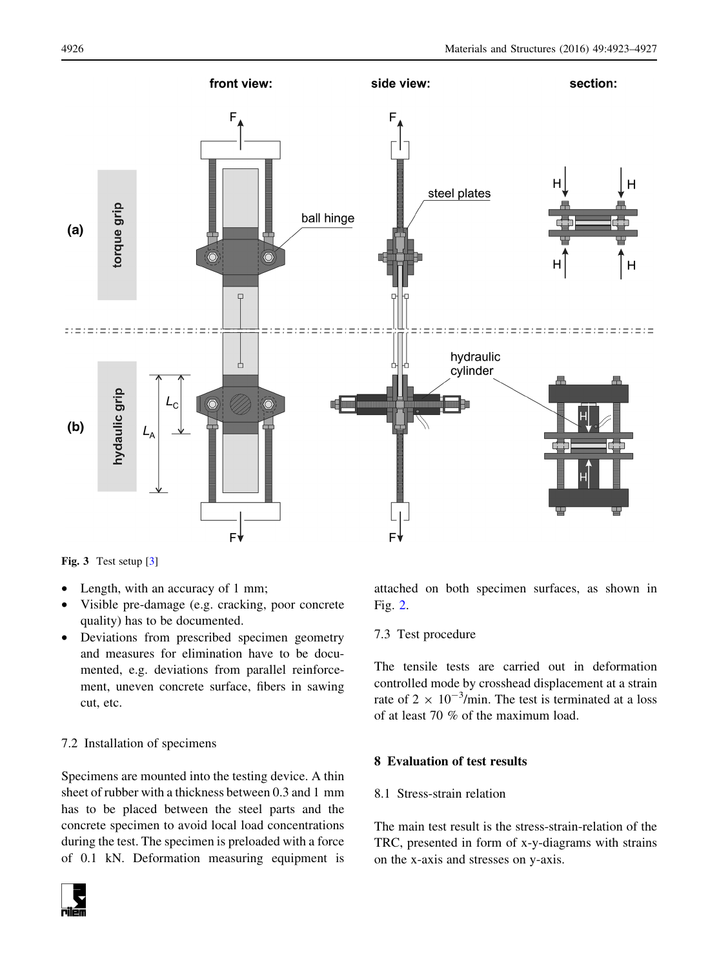<span id="page-3-0"></span>

Fig. 3 Test setup [[3\]](#page-4-0)

- Length, with an accuracy of 1 mm;
- Visible pre-damage (e.g. cracking, poor concrete quality) has to be documented.
- Deviations from prescribed specimen geometry and measures for elimination have to be documented, e.g. deviations from parallel reinforcement, uneven concrete surface, fibers in sawing cut, etc.

## 7.2 Installation of specimens

Specimens are mounted into the testing device. A thin sheet of rubber with a thickness between 0.3 and 1 mm has to be placed between the steel parts and the concrete specimen to avoid local load concentrations during the test. The specimen is preloaded with a force of 0.1 kN. Deformation measuring equipment is



attached on both specimen surfaces, as shown in Fig. [2.](#page-2-0)

#### 7.3 Test procedure

The tensile tests are carried out in deformation controlled mode by crosshead displacement at a strain rate of 2  $\times$  10<sup>-3</sup>/min. The test is terminated at a loss of at least 70 % of the maximum load.

#### 8 Evaluation of test results

### 8.1 Stress-strain relation

The main test result is the stress-strain-relation of the TRC, presented in form of x-y-diagrams with strains on the x-axis and stresses on y-axis.